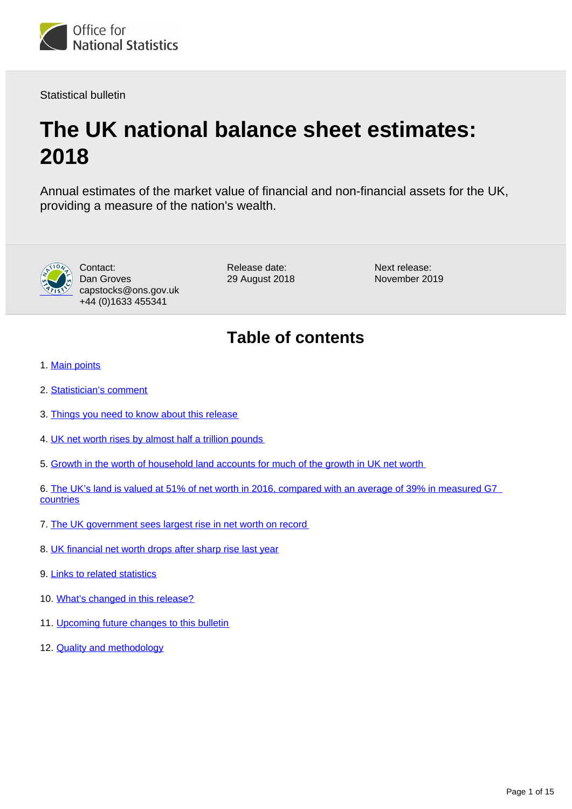

Statistical bulletin

# **The UK national balance sheet estimates: 2018**

Annual estimates of the market value of financial and non-financial assets for the UK, providing a measure of the nation's wealth.



Contact: Dan Groves capstocks@ons.gov.uk +44 (0)1633 455341

Release date: 29 August 2018 Next release: November 2019

## **Table of contents**

- 1. [Main points](#page-1-0)
- 2. [Statistician's comment](#page-1-1)
- 3. [Things you need to know about this release](#page-1-2)
- 4. [UK net worth rises by almost half a trillion pounds](#page-2-0)
- 5. [Growth in the worth of household land accounts for much of the growth in UK net worth](#page-4-0)

6. [The UK's land is valued at 51% of net worth in 2016, compared with an average of 39% in measured G7](#page-6-0)  **[countries](#page-6-0)** 

- 7. [The UK government sees largest rise in net worth on record](#page-9-0)
- 8. [UK financial net worth drops after sharp rise last year](#page-10-0)
- 9. [Links to related statistics](#page-11-0)
- 10. [What's changed in this release?](#page-12-0)
- 11. [Upcoming future changes to this bulletin](#page-13-0)
- 12. **[Quality and methodology](#page-13-1)**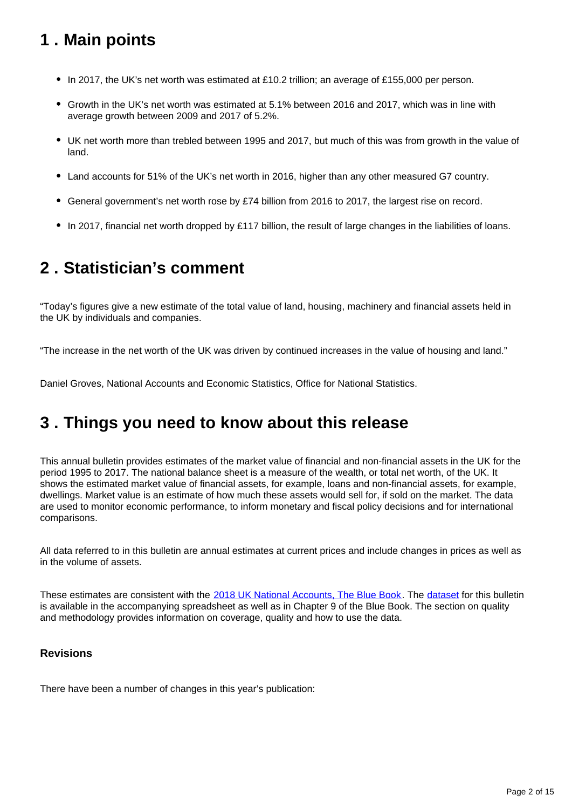## <span id="page-1-0"></span>**1 . Main points**

- In 2017, the UK's net worth was estimated at £10.2 trillion; an average of £155,000 per person.
- Growth in the UK's net worth was estimated at 5.1% between 2016 and 2017, which was in line with average growth between 2009 and 2017 of 5.2%.
- UK net worth more than trebled between 1995 and 2017, but much of this was from growth in the value of land.
- Land accounts for 51% of the UK's net worth in 2016, higher than any other measured G7 country.
- General government's net worth rose by £74 billion from 2016 to 2017, the largest rise on record.
- In 2017, financial net worth dropped by £117 billion, the result of large changes in the liabilities of loans.

## <span id="page-1-1"></span>**2 . Statistician's comment**

"Today's figures give a new estimate of the total value of land, housing, machinery and financial assets held in the UK by individuals and companies.

"The increase in the net worth of the UK was driven by continued increases in the value of housing and land."

Daniel Groves, National Accounts and Economic Statistics, Office for National Statistics.

## <span id="page-1-2"></span>**3 . Things you need to know about this release**

This annual bulletin provides estimates of the market value of financial and non-financial assets in the UK for the period 1995 to 2017. The national balance sheet is a measure of the wealth, or total net worth, of the UK. It shows the estimated market value of financial assets, for example, loans and non-financial assets, for example, dwellings. Market value is an estimate of how much these assets would sell for, if sold on the market. The data are used to monitor economic performance, to inform monetary and fiscal policy decisions and for international comparisons.

All data referred to in this bulletin are annual estimates at current prices and include changes in prices as well as in the volume of assets.

These estimates are consistent with the [2018 UK National Accounts, The Blue Book.](https://www.ons.gov.uk/economy/grossdomesticproductgdp/compendium/unitedkingdomnationalaccountsthebluebook/2018) The [dataset](https://www.ons.gov.uk/economy/nationalaccounts/uksectoraccounts/datasets/thenationalbalancesheetestimates) for this bulletin is available in the accompanying spreadsheet as well as in Chapter 9 of the Blue Book. The section on quality and methodology provides information on coverage, quality and how to use the data.

### **Revisions**

There have been a number of changes in this year's publication: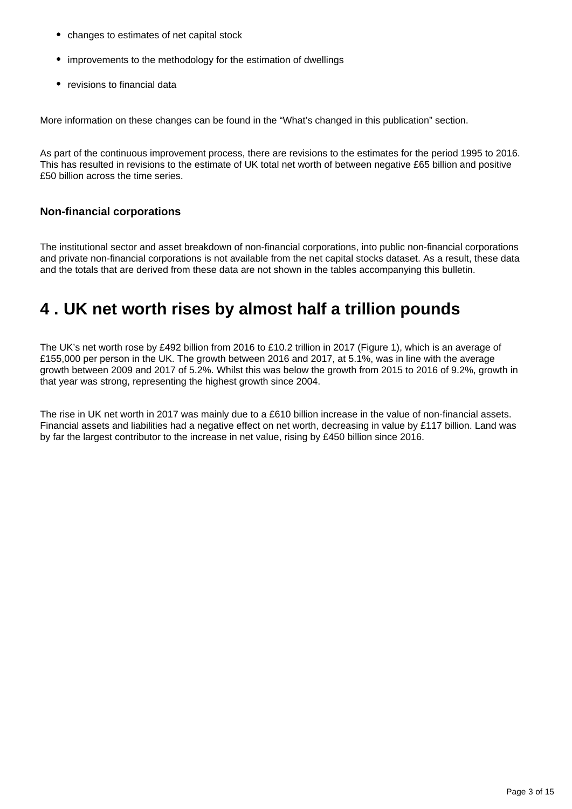- changes to estimates of net capital stock
- improvements to the methodology for the estimation of dwellings
- revisions to financial data

More information on these changes can be found in the "What's changed in this publication" section.

As part of the continuous improvement process, there are revisions to the estimates for the period 1995 to 2016. This has resulted in revisions to the estimate of UK total net worth of between negative £65 billion and positive £50 billion across the time series.

### **Non-financial corporations**

The institutional sector and asset breakdown of non-financial corporations, into public non-financial corporations and private non-financial corporations is not available from the net capital stocks dataset. As a result, these data and the totals that are derived from these data are not shown in the tables accompanying this bulletin.

## <span id="page-2-0"></span>**4 . UK net worth rises by almost half a trillion pounds**

The UK's net worth rose by £492 billion from 2016 to £10.2 trillion in 2017 (Figure 1), which is an average of £155,000 per person in the UK. The growth between 2016 and 2017, at 5.1%, was in line with the average growth between 2009 and 2017 of 5.2%. Whilst this was below the growth from 2015 to 2016 of 9.2%, growth in that year was strong, representing the highest growth since 2004.

The rise in UK net worth in 2017 was mainly due to a £610 billion increase in the value of non-financial assets. Financial assets and liabilities had a negative effect on net worth, decreasing in value by £117 billion. Land was by far the largest contributor to the increase in net value, rising by £450 billion since 2016.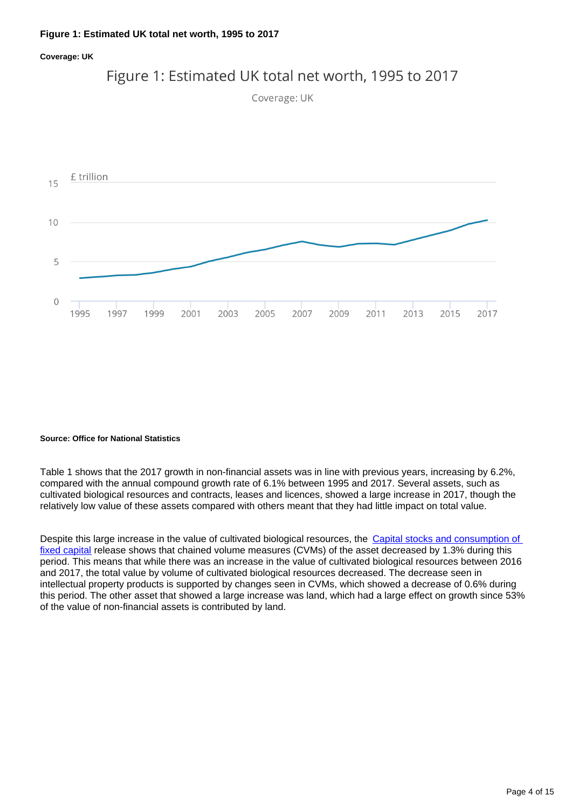### **Figure 1: Estimated UK total net worth, 1995 to 2017**

### **Coverage: UK**



Figure 1: Estimated UK total net worth, 1995 to 2017



### **Source: Office for National Statistics**

Table 1 shows that the 2017 growth in non-financial assets was in line with previous years, increasing by 6.2%, compared with the annual compound growth rate of 6.1% between 1995 and 2017. Several assets, such as cultivated biological resources and contracts, leases and licences, showed a large increase in 2017, though the relatively low value of these assets compared with others meant that they had little impact on total value.

Despite this large increase in the value of cultivated biological resources, the Capital stocks and consumption of [fixed capital](https://www.ons.gov.uk/economy/nationalaccounts/uksectoraccounts/bulletins/capitalstocksconsumptionoffixedcapital/2018) release shows that chained volume measures (CVMs) of the asset decreased by 1.3% during this period. This means that while there was an increase in the value of cultivated biological resources between 2016 and 2017, the total value by volume of cultivated biological resources decreased. The decrease seen in intellectual property products is supported by changes seen in CVMs, which showed a decrease of 0.6% during this period. The other asset that showed a large increase was land, which had a large effect on growth since 53% of the value of non-financial assets is contributed by land.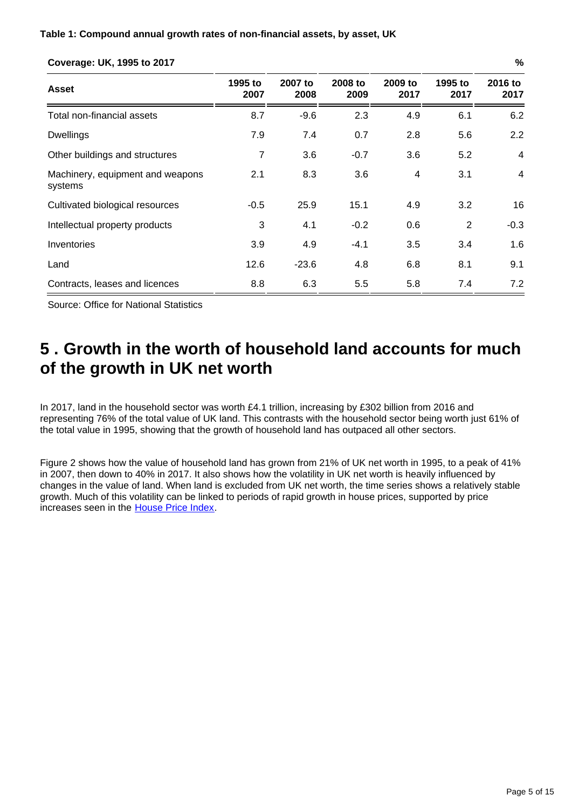| Asset                                       | 1995 to<br>2007 | 2007 to<br>2008 | 2008 to<br>2009 | 2009 to<br>2017 | 1995 to<br>2017 | 2016 to<br>2017 |
|---------------------------------------------|-----------------|-----------------|-----------------|-----------------|-----------------|-----------------|
| Total non-financial assets                  | 8.7             | $-9.6$          | 2.3             | 4.9             | 6.1             | 6.2             |
| <b>Dwellings</b>                            | 7.9             | 7.4             | 0.7             | 2.8             | 5.6             | 2.2             |
| Other buildings and structures              | 7               | 3.6             | $-0.7$          | 3.6             | 5.2             | 4               |
| Machinery, equipment and weapons<br>systems | 2.1             | 8.3             | 3.6             | 4               | 3.1             | 4               |
| Cultivated biological resources             | $-0.5$          | 25.9            | 15.1            | 4.9             | 3.2             | 16              |
| Intellectual property products              | 3               | 4.1             | $-0.2$          | 0.6             | $\overline{2}$  | $-0.3$          |
| Inventories                                 | 3.9             | 4.9             | $-4.1$          | 3.5             | 3.4             | 1.6             |
| Land                                        | 12.6            | $-23.6$         | 4.8             | 6.8             | 8.1             | 9.1             |
| Contracts, leases and licences              | 8.8             | 6.3             | 5.5             | 5.8             | 7.4             | 7.2             |

### **Coverage: UK, 1995 to 2017 %**

Source: Office for National Statistics

## <span id="page-4-0"></span>**5 . Growth in the worth of household land accounts for much of the growth in UK net worth**

In 2017, land in the household sector was worth £4.1 trillion, increasing by £302 billion from 2016 and representing 76% of the total value of UK land. This contrasts with the household sector being worth just 61% of the total value in 1995, showing that the growth of household land has outpaced all other sectors.

Figure 2 shows how the value of household land has grown from 21% of UK net worth in 1995, to a peak of 41% in 2007, then down to 40% in 2017. It also shows how the volatility in UK net worth is heavily influenced by changes in the value of land. When land is excluded from UK net worth, the time series shows a relatively stable growth. Much of this volatility can be linked to periods of rapid growth in house prices, supported by price increases seen in the [House Price Index](https://www.ons.gov.uk/economy/inflationandpriceindices/bulletins/housepriceindex/previousReleases).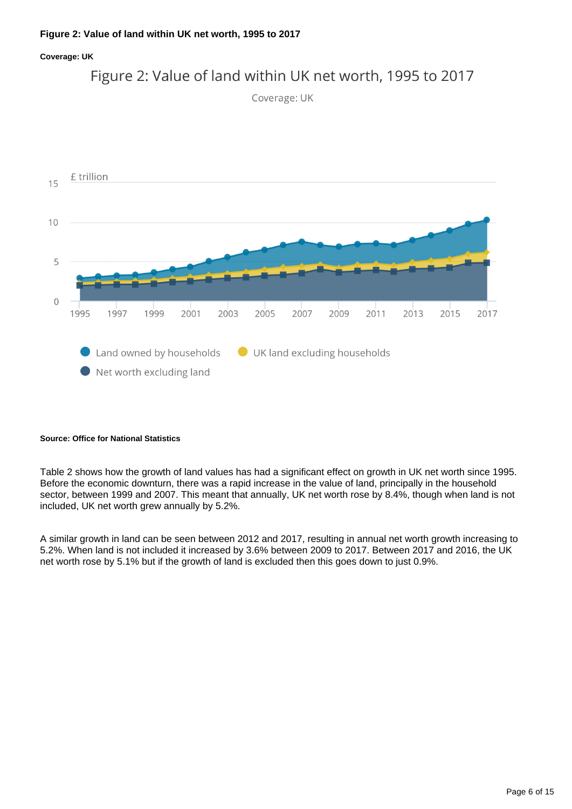### **Figure 2: Value of land within UK net worth, 1995 to 2017**

### **Coverage: UK**



### **Source: Office for National Statistics**

Table 2 shows how the growth of land values has had a significant effect on growth in UK net worth since 1995. Before the economic downturn, there was a rapid increase in the value of land, principally in the household sector, between 1999 and 2007. This meant that annually, UK net worth rose by 8.4%, though when land is not included, UK net worth grew annually by 5.2%.

A similar growth in land can be seen between 2012 and 2017, resulting in annual net worth growth increasing to 5.2%. When land is not included it increased by 3.6% between 2009 to 2017. Between 2017 and 2016, the UK net worth rose by 5.1% but if the growth of land is excluded then this goes down to just 0.9%.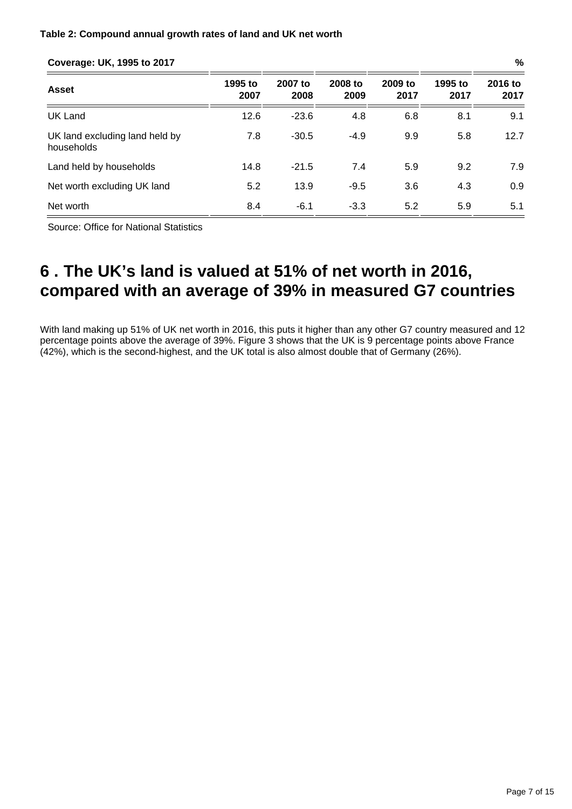### **Table 2: Compound annual growth rates of land and UK net worth**

### **Coverage: UK, 1995 to 2017 %**

| <b>Asset</b>                                 | 1995 to<br>2007 | 2007 to<br>2008 | 2008 to<br>2009 | 2009 to<br>2017 | 1995 to<br>2017 | 2016 to<br>2017 |  |
|----------------------------------------------|-----------------|-----------------|-----------------|-----------------|-----------------|-----------------|--|
| UK Land                                      | 12.6            | $-23.6$         | 4.8             | 6.8             | 8.1             | 9.1             |  |
| UK land excluding land held by<br>households | 7.8             | $-30.5$         | $-4.9$          | 9.9             | 5.8             | 12.7            |  |
| Land held by households                      | 14.8            | $-21.5$         | 7.4             | 5.9             | 9.2             | 7.9             |  |
| Net worth excluding UK land                  | 5.2             | 13.9            | $-9.5$          | 3.6             | 4.3             | 0.9             |  |
| Net worth                                    | 8.4             | $-6.1$          | $-3.3$          | 5.2             | 5.9             | 5.1             |  |

Source: Office for National Statistics

## <span id="page-6-0"></span>**6 . The UK's land is valued at 51% of net worth in 2016, compared with an average of 39% in measured G7 countries**

With land making up 51% of UK net worth in 2016, this puts it higher than any other G7 country measured and 12 percentage points above the average of 39%. Figure 3 shows that the UK is 9 percentage points above France (42%), which is the second-highest, and the UK total is also almost double that of Germany (26%).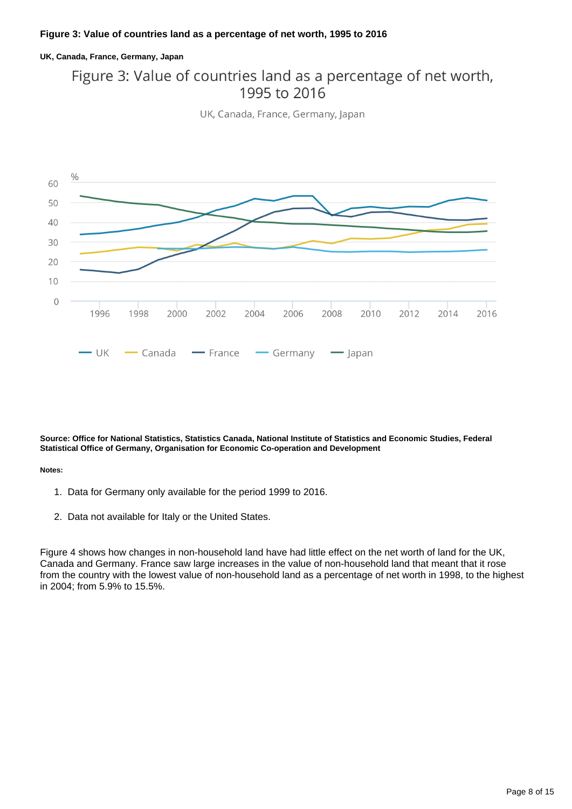### **UK, Canada, France, Germany, Japan**

### Figure 3: Value of countries land as a percentage of net worth, 1995 to 2016

UK, Canada, France, Germany, Japan



**Source: Office for National Statistics, Statistics Canada, National Institute of Statistics and Economic Studies, Federal Statistical Office of Germany, Organisation for Economic Co-operation and Development**

#### **Notes:**

- 1. Data for Germany only available for the period 1999 to 2016.
- 2. Data not available for Italy or the United States.

Figure 4 shows how changes in non-household land have had little effect on the net worth of land for the UK, Canada and Germany. France saw large increases in the value of non-household land that meant that it rose from the country with the lowest value of non-household land as a percentage of net worth in 1998, to the highest in 2004; from 5.9% to 15.5%.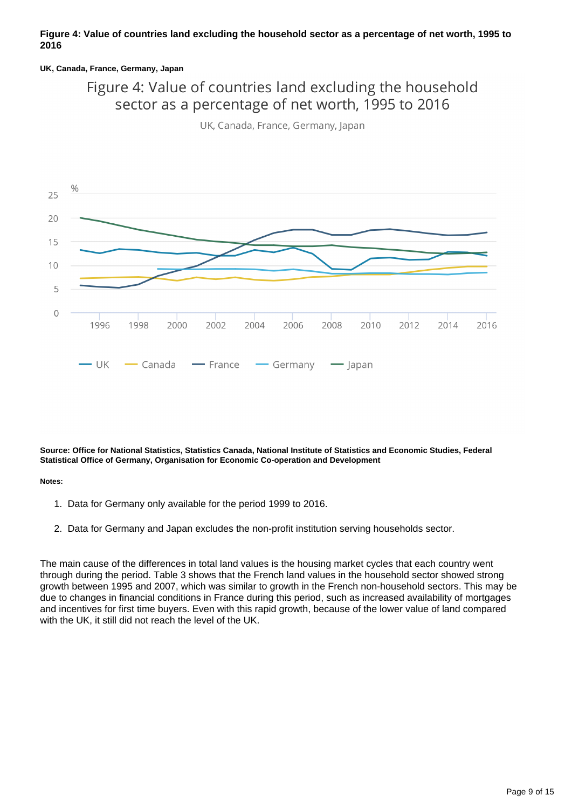### **Figure 4: Value of countries land excluding the household sector as a percentage of net worth, 1995 to 2016**

### **UK, Canada, France, Germany, Japan**

### Figure 4: Value of countries land excluding the household sector as a percentage of net worth, 1995 to 2016

UK, Canada, France, Germany, Japan



**Source: Office for National Statistics, Statistics Canada, National Institute of Statistics and Economic Studies, Federal Statistical Office of Germany, Organisation for Economic Co-operation and Development**

#### **Notes:**

- 1. Data for Germany only available for the period 1999 to 2016.
- 2. Data for Germany and Japan excludes the non-profit institution serving households sector.

The main cause of the differences in total land values is the housing market cycles that each country went through during the period. Table 3 shows that the French land values in the household sector showed strong growth between 1995 and 2007, which was similar to growth in the French non-household sectors. This may be due to changes in financial conditions in France during this period, such as increased availability of mortgages and incentives for first time buyers. Even with this rapid growth, because of the lower value of land compared with the UK, it still did not reach the level of the UK.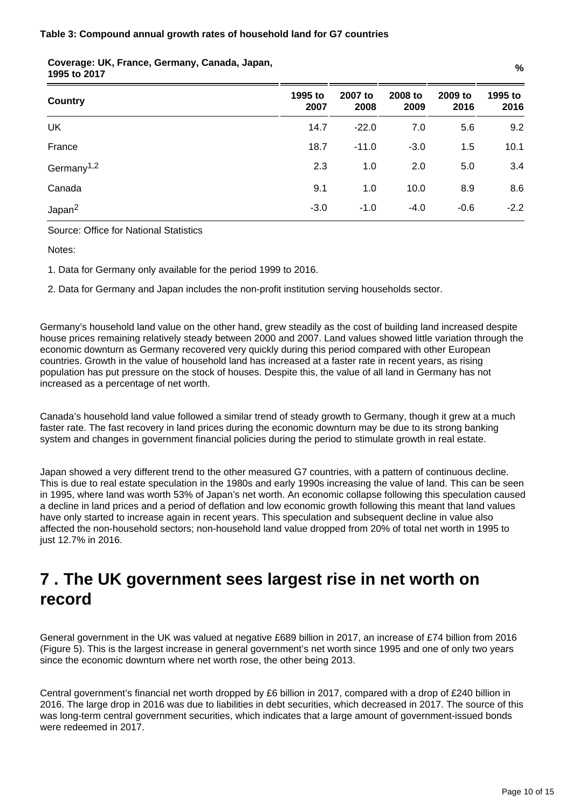| Country                             | 1995 to<br>2007 | 2007 to<br>2008 | 2008 to<br>2009 | 2009 to<br>2016 | 1995 to<br>2016 |
|-------------------------------------|-----------------|-----------------|-----------------|-----------------|-----------------|
| UK                                  | 14.7            | $-22.0$         | 7.0             | 5.6             | 9.2             |
| France                              | 18.7            | $-11.0$         | $-3.0$          | 1.5             | 10.1            |
| Germany <sup><math>1,2</math></sup> | 2.3             | 1.0             | 2.0             | 5.0             | 3.4             |
| Canada                              | 9.1             | 1.0             | 10.0            | 8.9             | 8.6             |
| Japan <sup>2</sup>                  | $-3.0$          | $-1.0$          | $-4.0$          | $-0.6$          | $-2.2$          |

## **Coverage: UK, France, Germany, Canada, Japan, 1995 to 2017 %**

Source: Office for National Statistics

Notes:

1. Data for Germany only available for the period 1999 to 2016.

2. Data for Germany and Japan includes the non-profit institution serving households sector.

Germany's household land value on the other hand, grew steadily as the cost of building land increased despite house prices remaining relatively steady between 2000 and 2007. Land values showed little variation through the economic downturn as Germany recovered very quickly during this period compared with other European countries. Growth in the value of household land has increased at a faster rate in recent years, as rising population has put pressure on the stock of houses. Despite this, the value of all land in Germany has not increased as a percentage of net worth.

Canada's household land value followed a similar trend of steady growth to Germany, though it grew at a much faster rate. The fast recovery in land prices during the economic downturn may be due to its strong banking system and changes in government financial policies during the period to stimulate growth in real estate.

Japan showed a very different trend to the other measured G7 countries, with a pattern of continuous decline. This is due to real estate speculation in the 1980s and early 1990s increasing the value of land. This can be seen in 1995, where land was worth 53% of Japan's net worth. An economic collapse following this speculation caused a decline in land prices and a period of deflation and low economic growth following this meant that land values have only started to increase again in recent years. This speculation and subsequent decline in value also affected the non-household sectors; non-household land value dropped from 20% of total net worth in 1995 to just 12.7% in 2016.

## <span id="page-9-0"></span>**7 . The UK government sees largest rise in net worth on record**

General government in the UK was valued at negative £689 billion in 2017, an increase of £74 billion from 2016 (Figure 5). This is the largest increase in general government's net worth since 1995 and one of only two years since the economic downturn where net worth rose, the other being 2013.

Central government's financial net worth dropped by £6 billion in 2017, compared with a drop of £240 billion in 2016. The large drop in 2016 was due to liabilities in debt securities, which decreased in 2017. The source of this was long-term central government securities, which indicates that a large amount of government-issued bonds were redeemed in 2017.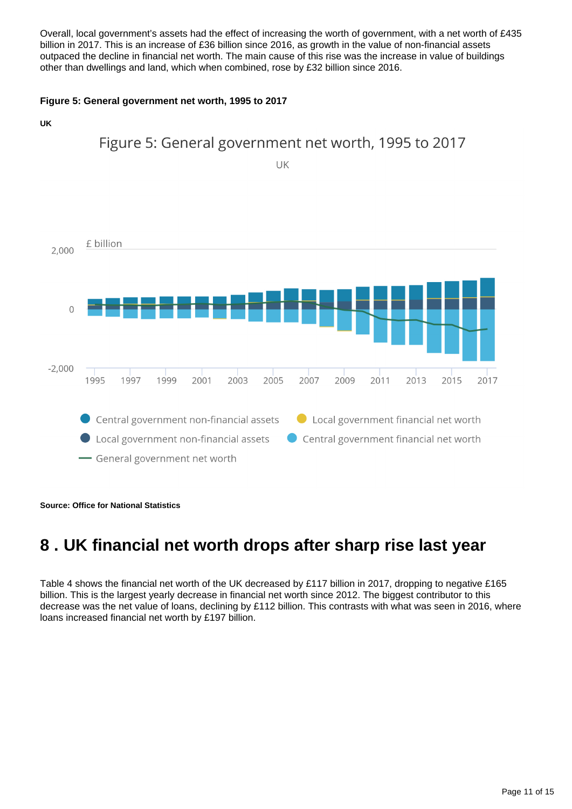Overall, local government's assets had the effect of increasing the worth of government, with a net worth of £435 billion in 2017. This is an increase of £36 billion since 2016, as growth in the value of non-financial assets outpaced the decline in financial net worth. The main cause of this rise was the increase in value of buildings other than dwellings and land, which when combined, rose by £32 billion since 2016.

### **Figure 5: General government net worth, 1995 to 2017**



**Source: Office for National Statistics**

## <span id="page-10-0"></span>**8 . UK financial net worth drops after sharp rise last year**

Table 4 shows the financial net worth of the UK decreased by £117 billion in 2017, dropping to negative £165 billion. This is the largest yearly decrease in financial net worth since 2012. The biggest contributor to this decrease was the net value of loans, declining by £112 billion. This contrasts with what was seen in 2016, where loans increased financial net worth by £197 billion.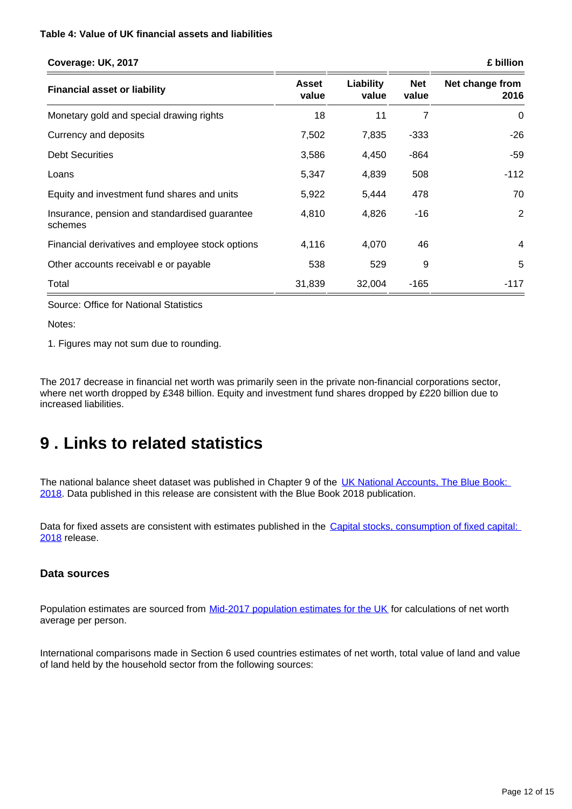### **Table 4: Value of UK financial assets and liabilities**

| Coverage: UK, 2017                                       |                       |                    |                     | £ billion               |  |
|----------------------------------------------------------|-----------------------|--------------------|---------------------|-------------------------|--|
| <b>Financial asset or liability</b>                      | <b>Asset</b><br>value | Liability<br>value | <b>Net</b><br>value | Net change from<br>2016 |  |
| Monetary gold and special drawing rights                 | 18                    | 11                 | 7                   | 0                       |  |
| Currency and deposits                                    | 7,502                 | 7,835              | $-333$              | $-26$                   |  |
| <b>Debt Securities</b>                                   | 3,586                 | 4,450              | $-864$              | $-59$                   |  |
| Loans                                                    | 5,347                 | 4,839              | 508                 | $-112$                  |  |
| Equity and investment fund shares and units              | 5,922                 | 5,444              | 478                 | 70                      |  |
| Insurance, pension and standardised guarantee<br>schemes | 4,810                 | 4,826              | -16                 | $\overline{2}$          |  |
| Financial derivatives and employee stock options         | 4,116                 | 4,070              | 46                  | 4                       |  |
| Other accounts receivable or payable                     | 538                   | 529                | 9                   | 5                       |  |
| Total                                                    | 31,839                | 32,004             | $-165$              | $-117$                  |  |

Source: Office for National Statistics

Notes:

1. Figures may not sum due to rounding.

The 2017 decrease in financial net worth was primarily seen in the private non-financial corporations sector, where net worth dropped by £348 billion. Equity and investment fund shares dropped by £220 billion due to increased liabilities.

## <span id="page-11-0"></span>**9 . Links to related statistics**

The national balance sheet dataset was published in Chapter 9 of the [UK National Accounts, The Blue Book:](https://www.ons.gov.uk/economy/grossdomesticproductgdp/compendium/unitedkingdomnationalaccountsthebluebook/2018)  [2018](https://www.ons.gov.uk/economy/grossdomesticproductgdp/compendium/unitedkingdomnationalaccountsthebluebook/2018). Data published in this release are consistent with the Blue Book 2018 publication.

Data for fixed assets are consistent with estimates published in the Capital stocks, consumption of fixed capital: [2018](https://www.ons.gov.uk/economy/nationalaccounts/uksectoraccounts/bulletins/capitalstocksconsumptionoffixedcapital/2018) release.

### **Data sources**

Population estimates are sourced from [Mid-2017 population estimates for the UK](https://www.ons.gov.uk/peoplepopulationandcommunity/populationandmigration/populationestimates/bulletins/annualmidyearpopulationestimates/mid2017) for calculations of net worth average per person.

International comparisons made in Section 6 used countries estimates of net worth, total value of land and value of land held by the household sector from the following sources: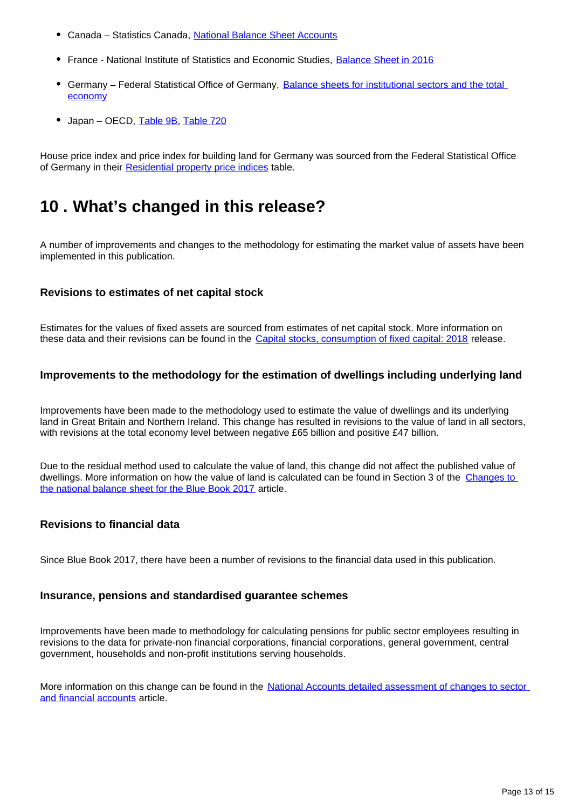- Canada Statistics Canada, [National Balance Sheet Accounts](https://www150.statcan.gc.ca/t1/tbl1/en/tv.action?pid=3610058001)
- France National Institute of Statistics and Economic Studies, [Balance Sheet in 2016](https://www.insee.fr/en/statistiques/2839356?sommaire=2839395&q=Balance%20sheet)
- Germany Federal Statistical Office of Germany, Balance sheets for institutional sectors and the total [economy](https://www.bundesbank.de/Navigation/EN/Statistics/Macroeconomic_accounting_systems/Balance_sheets/balance_sheets.html)
- Japan OECD, [Table 9B](https://stats.oecd.org/index.aspx?DataSetCode=SNA_TABLE9B), [Table 720](https://stats.oecd.org/Index.aspx?DataSetCode=SNA_TABLE720R)

House price index and price index for building land for Germany was sourced from the Federal Statistical Office of Germany in their [Residential property price indices](https://www-genesis.destatis.de/genesis/online/logon?&sequenz=tabelleErgebnis&selectionname=61262-0001&language=en) table.

## <span id="page-12-0"></span>**10 . What's changed in this release?**

A number of improvements and changes to the methodology for estimating the market value of assets have been implemented in this publication.

### **Revisions to estimates of net capital stock**

Estimates for the values of fixed assets are sourced from estimates of net capital stock. More information on these data and their revisions can be found in the [Capital stocks, consumption of fixed capital: 2018](https://www.ons.gov.uk/economy/nationalaccounts/uksectoraccounts/bulletins/capitalstocksconsumptionoffixedcapital/2018) release.

### **Improvements to the methodology for the estimation of dwellings including underlying land**

Improvements have been made to the methodology used to estimate the value of dwellings and its underlying land in Great Britain and Northern Ireland. This change has resulted in revisions to the value of land in all sectors, with revisions at the total economy level between negative £65 billion and positive £47 billion.

Due to the residual method used to calculate the value of land, this change did not affect the published value of dwellings. More information on how the value of land is calculated can be found in Section 3 of the [Changes to](https://www.ons.gov.uk/economy/nationalaccounts/uksectoraccounts/articles/nationalaccountsarticles/changestothenationalbalancesheetforthebluebook2017#land)  [the national balance sheet for the Blue Book 2017](https://www.ons.gov.uk/economy/nationalaccounts/uksectoraccounts/articles/nationalaccountsarticles/changestothenationalbalancesheetforthebluebook2017#land) article.

### **Revisions to financial data**

Since Blue Book 2017, there have been a number of revisions to the financial data used in this publication.

### **Insurance, pensions and standardised guarantee schemes**

Improvements have been made to methodology for calculating pensions for public sector employees resulting in revisions to the data for private-non financial corporations, financial corporations, general government, central government, households and non-profit institutions serving households.

More information on this change can be found in the National Accounts detailed assessment of changes to sector [and financial accounts](https://www.ons.gov.uk/economy/nationalaccounts/uksectoraccounts/articles/nationalaccountsarticles/detailedassessmentofchangestosectorandfinancialaccounts1997to2016) article.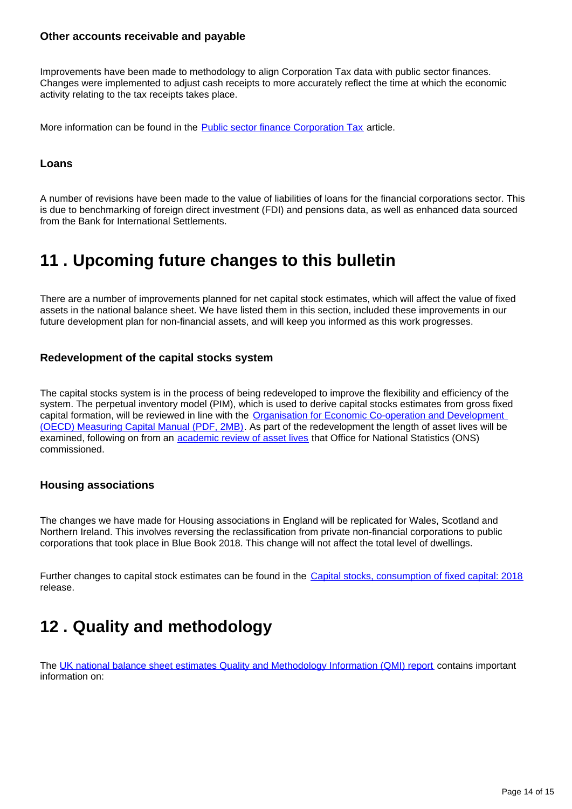### **Other accounts receivable and payable**

Improvements have been made to methodology to align Corporation Tax data with public sector finances. Changes were implemented to adjust cash receipts to more accurately reflect the time at which the economic activity relating to the tax receipts takes place.

More information can be found in the **Public sector finance Corporation Tax** article.

### **Loans**

A number of revisions have been made to the value of liabilities of loans for the financial corporations sector. This is due to benchmarking of foreign direct investment (FDI) and pensions data, as well as enhanced data sourced from the Bank for International Settlements.

## <span id="page-13-0"></span>**11 . Upcoming future changes to this bulletin**

There are a number of improvements planned for net capital stock estimates, which will affect the value of fixed assets in the national balance sheet. We have listed them in this section, included these improvements in our future development plan for non-financial assets, and will keep you informed as this work progresses.

### **Redevelopment of the capital stocks system**

The capital stocks system is in the process of being redeveloped to improve the flexibility and efficiency of the system. The perpetual inventory model (PIM), which is used to derive capital stocks estimates from gross fixed capital formation, will be reviewed in line with the [Organisation for Economic Co-operation and Development](https://www.oecd.org/sdd/productivity-stats/43734711.pdf)  [\(OECD\) Measuring Capital Manual \(PDF, 2MB\)](https://www.oecd.org/sdd/productivity-stats/43734711.pdf). As part of the redevelopment the length of asset lives will be examined, following on from an [academic review of asset lives](https://www.niesr.ac.uk/publications/academic-review-asset-lives-uk) that Office for National Statistics (ONS) commissioned.

### **Housing associations**

The changes we have made for Housing associations in England will be replicated for Wales, Scotland and Northern Ireland. This involves reversing the reclassification from private non-financial corporations to public corporations that took place in Blue Book 2018. This change will not affect the total level of dwellings.

Further changes to capital stock estimates can be found in the [Capital stocks, consumption of fixed capital: 2018](https://www.ons.gov.uk/economy/nationalaccounts/uksectoraccounts/bulletins/capitalstocksconsumptionoffixedcapital/2018) release.

## <span id="page-13-1"></span>**12 . Quality and methodology**

The [UK national balance sheet estimates Quality and Methodology Information \(QMI\) report](https://www.ons.gov.uk/economy/nationalaccounts/uksectoraccounts/methodologies/nonfinancialbalancesheetqmi) contains important information on: